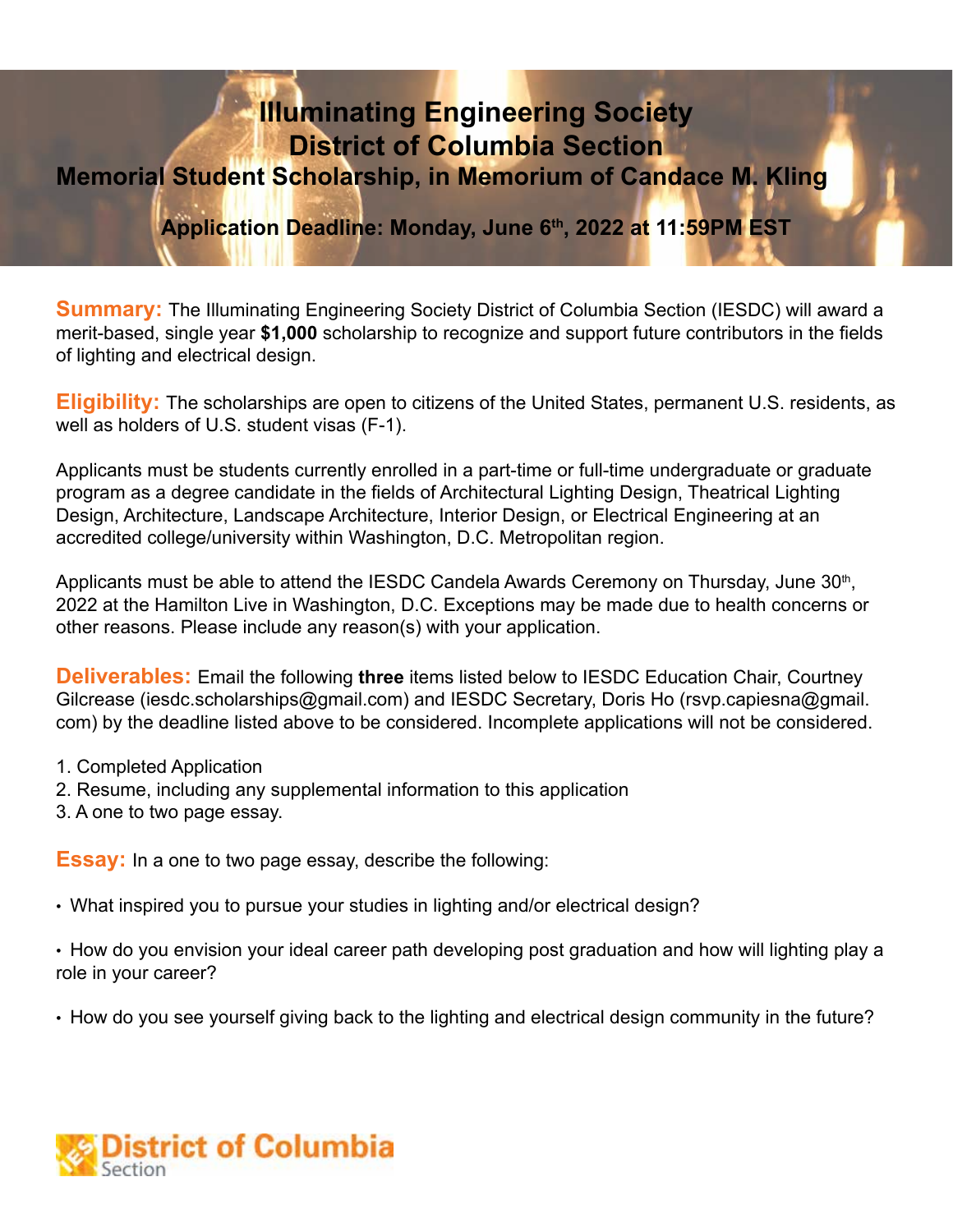# **Illuminating Engineering Society District of Columbia Section Memorial Student Scholarship, in Memorium of Candace M. Kling**

**Application Deadline: Monday, June 6th, 2022 at 11:59PM EST**

**Summary:** The Illuminating Engineering Society District of Columbia Section (IESDC) will award a merit-based, single year **\$1,000** scholarship to recognize and support future contributors in the fields of lighting and electrical design.

**Eligibility:** The scholarships are open to citizens of the United States, permanent U.S. residents, as well as holders of U.S. student visas (F-1).

Applicants must be students currently enrolled in a part-time or full-time undergraduate or graduate program as a degree candidate in the fields of Architectural Lighting Design, Theatrical Lighting Design, Architecture, Landscape Architecture, Interior Design, or Electrical Engineering at an accredited college/university within Washington, D.C. Metropolitan region.

Applicants must be able to attend the IESDC Candela Awards Ceremony on Thursday, June 30<sup>th</sup>, 2022 at the Hamilton Live in Washington, D.C. Exceptions may be made due to health concerns or other reasons. Please include any reason(s) with your application.

**Deliverables:** Email the following **three** items listed below to IESDC Education Chair, Courtney Gilcrease (iesdc.scholarships@gmail.com) and IESDC Secretary, Doris Ho (rsvp.capiesna@gmail. com) by the deadline listed above to be considered. Incomplete applications will not be considered.

- 1. Completed Application
- 2. Resume, including any supplemental information to this application
- 3. A one to two page essay.

**Essay:** In a one to two page essay, describe the following:

• What inspired you to pursue your studies in lighting and/or electrical design?

• How do you envision your ideal career path developing post graduation and how will lighting play a role in your career?

• How do you see yourself giving back to the lighting and electrical design community in the future?